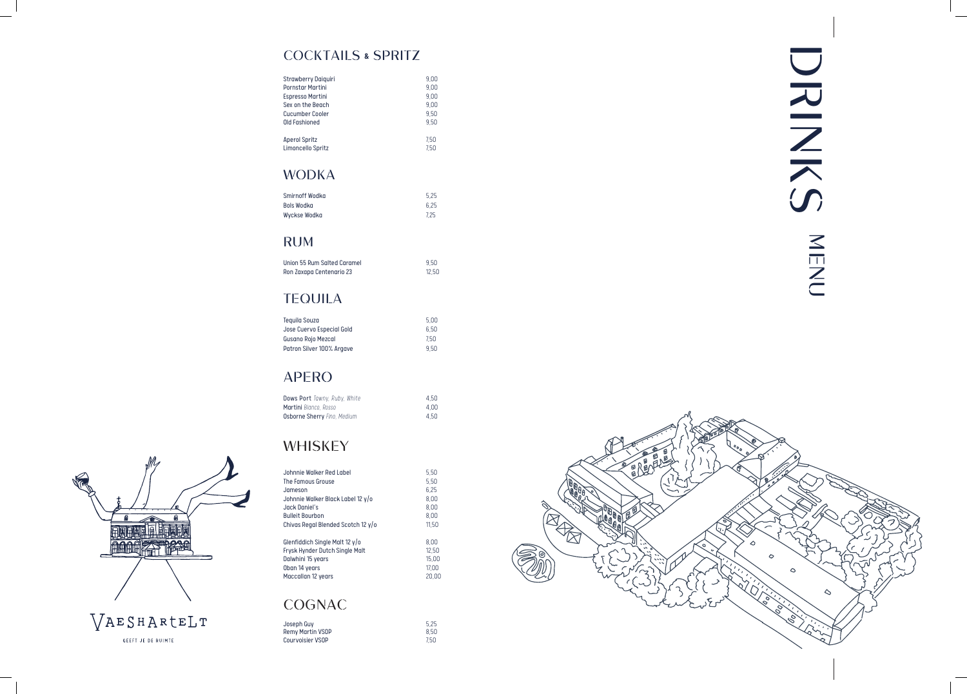#### COCKTAILS **&** SPRITZ

| <b>Strawberry Daiguiri</b> | 9.00 |
|----------------------------|------|
| <b>Pornstar Martini</b>    | 9.00 |
| Espresso Martini           | 9.00 |
| Sex on the Beach           | 9.00 |
| Cucumber Cooler            | 9.50 |
| Old Fashioned              | 9.50 |
| <b>Aperol Spritz</b>       | 7.50 |
| Limoncello Spritz          | 7.50 |

### WODKA

| 5.25 |
|------|
| 6.25 |
| 7.25 |
|      |

#### RUM

| Union 55 Rum Salted Caramel | 9.50  |
|-----------------------------|-------|
| Ron Zaxapa Centenario 23    | 12.50 |

## TEQUILA

| 5.00 |
|------|
| 6.50 |
| 7.50 |
| 950  |
|      |

# APERO

| Dows Port Tawny, Ruby, White       | 4.50 |
|------------------------------------|------|
| <b>Martini</b> Bianco, Rosso       | 4.00 |
| <b>Osborne Sherry Fino, Medium</b> | 4.50 |

# WHISKEY

| Johnnie Walker Red Label                 | 5.50  |
|------------------------------------------|-------|
| The Famous Grouse                        | 5.50  |
| Jameson                                  | 6.25  |
| Johnnie Walker Black Label 12 y/o        | 8.00  |
| Jack Daniel's                            | 8.00  |
| <b>Bulleit Bourbon</b>                   | 8.00  |
| Chivas Regal Blended Scotch 12 y/o       | 11.50 |
|                                          |       |
| Glenfiddich Single Malt 12 $\frac{y}{0}$ | 8.00  |
| Frysk Hynder Dutch Single Malt           | 12.50 |
| Dalwhini 15 years                        | 15.00 |
| Oban 14 years                            | 17.00 |
| Maccallan 12 years                       | 20.00 |
|                                          |       |
|                                          |       |

# COGNAC

| Joseph Guv              | 5.25 |
|-------------------------|------|
| <b>Remy Martin VSOP</b> | 8.50 |
| Courvoisier VSOP        | 7.50 |





GEEFT JE DE RUIMTE

# DRIKS) DIAIN S NEND